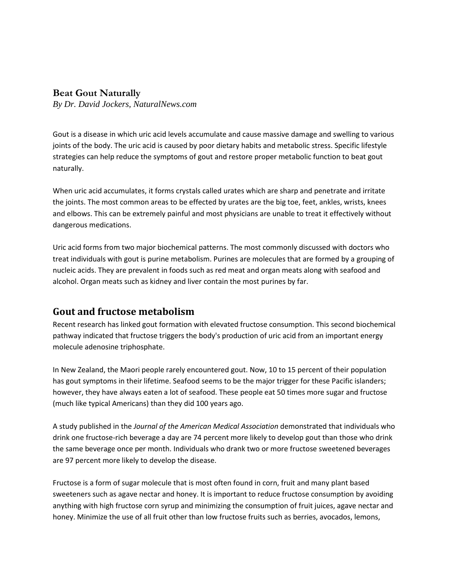## **Beat Gout Naturally**

*By Dr. David Jockers, NaturalNews.com*

Gout is a disease in which uric acid levels accumulate and cause massive damage and swelling to various joints of the body. The uric acid is caused by poor dietary habits and metabolic stress. Specific lifestyle strategies can help reduce the symptoms of gout and restore proper metabolic function to beat gout naturally.

When uric acid accumulates, it forms crystals called urates which are sharp and penetrate and irritate the joints. The most common areas to be effected by urates are the big toe, feet, ankles, wrists, knees and elbows. This can be extremely painful and most physicians are unable to treat it effectively without dangerous medications.

Uric acid forms from two major biochemical patterns. The most commonly discussed with doctors who treat individuals with gout is purine metabolism. Purines are molecules that are formed by a grouping of nucleic acids. They are prevalent in foods such as red meat and organ meats along with seafood and alcohol. Organ meats such as kidney and liver contain the most purines by far.

## **Gout and fructose metabolism**

Recent research has linked gout formation with elevated fructose consumption. This second biochemical pathway indicated that fructose triggers the body's production of uric acid from an important energy molecule adenosine triphosphate.

In New Zealand, the Maori people rarely encountered gout. Now, 10 to 15 percent of their population has gout symptoms in their lifetime. Seafood seems to be the major trigger for these Pacific islanders; however, they have always eaten a lot of seafood. These people eat 50 times more sugar and [fructose](http://www.naturalnews.com/fructose.html) (much like typical Americans) than they did 100 years ago.

A study published in the *Journal of the American Medical Association* demonstrated that individuals who drink one fructose-rich beverage a day are 74 percent more likely to develo[p gout](http://www.naturalnews.com/gout.html) than those who drink the same beverage once per month. Individuals who drank two or more fructose sweetened beverages are 97 percent more likely to develop the disease.

Fructose is a form of sugar molecule that is most often found in corn, fruit and many plant based sweeteners such as agave nectar and honey. It is important to reduce fructose consumption by avoiding anything with high fructose corn syrup and minimizing the consumption of fruit juices, agave nectar and honey. Minimize the use of all fruit other than low fructose fruits such as berries, avocados, lemons,